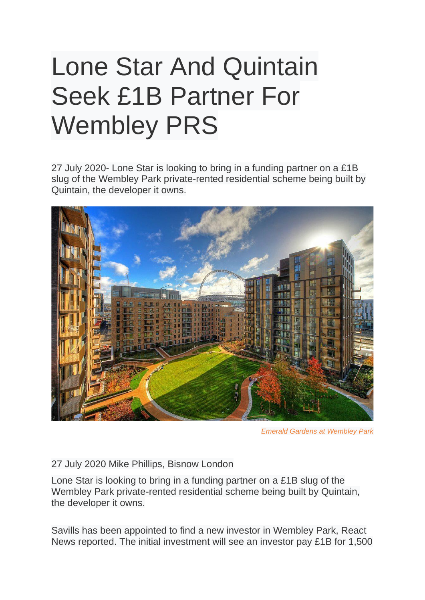## Lone Star And Quintain Seek £1B Partner For Wembley PRS

27 July 2020- Lone Star is looking to bring in a funding partner on a £1B slug of the Wembley Park private-rented residential scheme being built by Quintain, the developer it owns.



*Emerald Gardens at Wembley Park*

27 July 2020 Mike Phillips, Bisnow London

Lone Star is looking to bring in a funding partner on a £1B slug of the Wembley Park private-rented residential scheme being built by Quintain, the developer it owns.

Savills has been appointed to find a new investor in Wembley Park, React News reported. The initial investment will see an investor pay £1B for 1,500